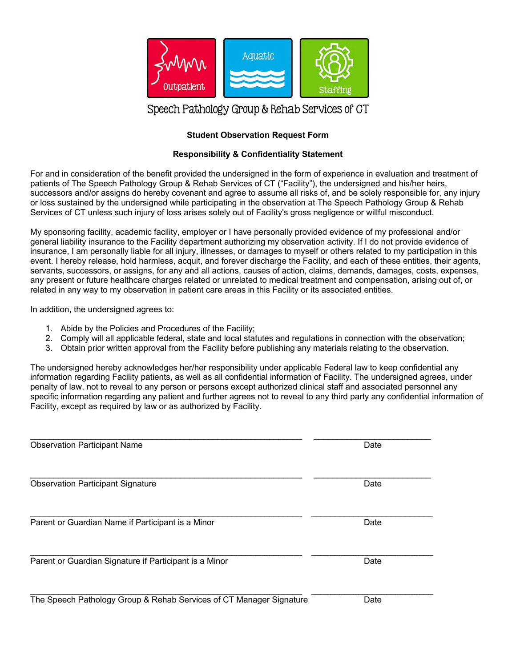

# Speech Pathology Group & Rehab Services of GT

### **Student Observation Request Form**

#### **Responsibility & Confidentiality Statement**

For and in consideration of the benefit provided the undersigned in the form of experience in evaluation and treatment of patients of The Speech Pathology Group & Rehab Services of CT ("Facility"), the undersigned and his/her heirs, successors and/or assigns do hereby covenant and agree to assume all risks of, and be solely responsible for, any injury or loss sustained by the undersigned while participating in the observation at The Speech Pathology Group & Rehab Services of CT unless such injury of loss arises solely out of Facility's gross negligence or willful misconduct.

My sponsoring facility, academic facility, employer or I have personally provided evidence of my professional and/or general liability insurance to the Facility department authorizing my observation activity. If I do not provide evidence of insurance, I am personally liable for all injury, illnesses, or damages to myself or others related to my participation in this event. I hereby release, hold harmless, acquit, and forever discharge the Facility, and each of these entities, their agents, servants, successors, or assigns, for any and all actions, causes of action, claims, demands, damages, costs, expenses, any present or future healthcare charges related or unrelated to medical treatment and compensation, arising out of, or related in any way to my observation in patient care areas in this Facility or its associated entities.

In addition, the undersigned agrees to:

- 1. Abide by the Policies and Procedures of the Facility;
- 2. Comply will all applicable federal, state and local statutes and regulations in connection with the observation;
- 3. Obtain prior written approval from the Facility before publishing any materials relating to the observation.

The undersigned hereby acknowledges her/her responsibility under applicable Federal law to keep confidential any information regarding Facility patients, as well as all confidential information of Facility. The undersigned agrees, under penalty of law, not to reveal to any person or persons except authorized clinical staff and associated personnel any specific information regarding any patient and further agrees not to reveal to any third party any confidential information of Facility, except as required by law or as authorized by Facility.

| <b>Observation Participant Name</b>                                 | Date |
|---------------------------------------------------------------------|------|
| <b>Observation Participant Signature</b>                            | Date |
| Parent or Guardian Name if Participant is a Minor                   | Date |
| Parent or Guardian Signature if Participant is a Minor              | Date |
| The Sneech Pathology Group & Rehab Services of CT Manager Signature | Adre |

The Speech Pathology Group & Rehab Services of CT Manager Signature **Date** Date